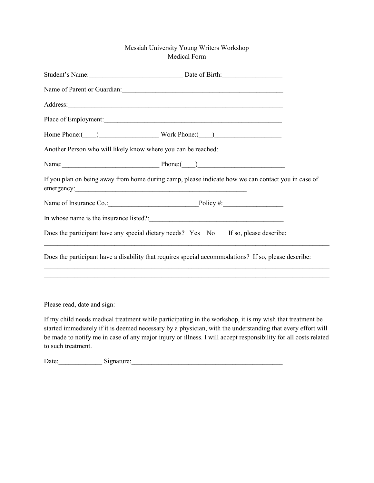## Messiah University Young Writers Workshop Medical Form

|                                                               | Student's Name: Date of Birth:                                                                                                                                                                                                 |
|---------------------------------------------------------------|--------------------------------------------------------------------------------------------------------------------------------------------------------------------------------------------------------------------------------|
|                                                               | Name of Parent or Guardian: 1988                                                                                                                                                                                               |
|                                                               | Address: Andreas Address: Address: Address: Address: Address: Address: Address: Address: Address: Address: Address: Address: Address: Address: Address: Address: Address: Address: Address: Address: Address: Address: Address |
|                                                               |                                                                                                                                                                                                                                |
|                                                               | Home Phone: (Campbell Compared Vork Phone: Campbell Compared Vork Phone: Campbell Compared Vork Phone: (Campbell Compared Vork Phone: Campbell Compared Vork Phone: Campbell Compared Vork Phone: Campbell Compared Vork Phone |
| Another Person who will likely know where you can be reached: |                                                                                                                                                                                                                                |
|                                                               |                                                                                                                                                                                                                                |
|                                                               | If you plan on being away from home during camp, please indicate how we can contact you in case of                                                                                                                             |
|                                                               | Name of Insurance Co.: Policy #:                                                                                                                                                                                               |
|                                                               |                                                                                                                                                                                                                                |
|                                                               | Does the participant have any special dietary needs? Yes No If so, please describe:                                                                                                                                            |
|                                                               | Does the participant have a disability that requires special accommodations? If so, please describe:<br>,我们也不能在这里的人,我们也不能在这里的人,我们也不能在这里的人,我们也不能在这里的人,我们也不能在这里的人,我们也不能在这里的人,我们也不能在这里的人,我们也                                      |
|                                                               |                                                                                                                                                                                                                                |
|                                                               |                                                                                                                                                                                                                                |
| Please read, date and sign:                                   |                                                                                                                                                                                                                                |

If my child needs medical treatment while participating in the workshop, it is my wish that treatment be started immediately if it is deemed necessary by a physician, with the understanding that every effort will be made to notify me in case of any major injury or illness. I will accept responsibility for all costs related to such treatment.

Date:\_\_\_\_\_\_\_\_\_\_\_\_\_ Signature:\_\_\_\_\_\_\_\_\_\_\_\_\_\_\_\_\_\_\_\_\_\_\_\_\_\_\_\_\_\_\_\_\_\_\_\_\_\_\_\_\_\_\_\_\_